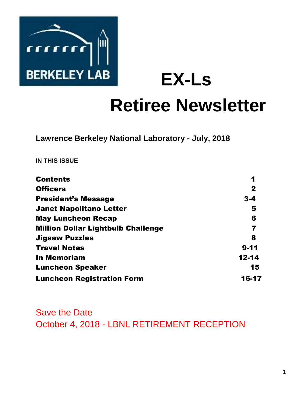

**EX-Ls** 

# **Retiree Newsletter**

**Lawrence Berkeley National Laboratory - July, 2018** 

**IN THIS ISSUE** 

| <b>Contents</b>                           | 1            |
|-------------------------------------------|--------------|
| <b>Officers</b>                           | $\mathbf{2}$ |
| <b>President's Message</b>                | $3 - 4$      |
| <b>Janet Napolitano Letter</b>            | 5            |
| <b>May Luncheon Recap</b>                 | 6            |
| <b>Million Dollar Lightbulb Challenge</b> | 7            |
| <b>Jigsaw Puzzles</b>                     | 8            |
| <b>Travel Notes</b>                       | $9 - 11$     |
| <b>In Memoriam</b>                        | $12 - 14$    |
| <b>Luncheon Speaker</b>                   | 15           |
| <b>Luncheon Registration Form</b>         | 16-17        |

Save the Date October 4, 2018 - LBNL RETIREMENT RECEPTION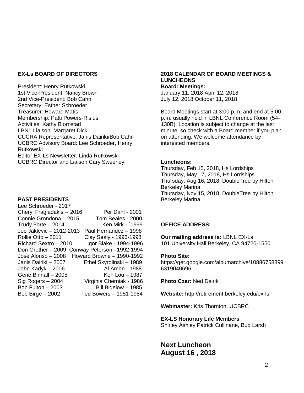#### **EX-Ls BOARD OF DIRECTORS**

President: Henry Rutkowski 1st Vice-President: Nancy Brown 2nd Vice-President: Bob Cahn Secretary: Esther Schroeder Treasurer: Howard Matis Membership: Patti Powers-Risius Activities: Kathy Bjornstad LBNL Liaison: Margaret Dick CUCRA Representative: Janis Dairiki/Bob Cahn UCBRC Advisory Board: Lee Schroeder, Henry Rutkowski Editor EX-Ls Newsletter: Linda Rutkowski UCBRC Director and Liaison Cary Sweeney

#### **PAST PRESIDENTS**

Lee Schroeder - 2017 Cheryl Fragiadakis -- 2016 Per Dahl - 2001 Connie Grondona – 2015 Tom Beales - 2000  $Trudv$  Forte  $-2014$  Ken Mirk - `1999 Joe Jaklevic – 2012-2013 Paul Hernandez – 1998 Rollie Otto – 2011 Clay Sealy - 1996-1998  $Richard$  Sextro  $-2010$  Igor Blake - 1994-1996 Don Grether – 2009 Conway Peterson –1992-1994 Jose Alonso – 2008 Howard Browne – 1990-1992 Janis Dairiki – 2007 Ethel Skyrdlinski – 1989 John Kadyk – 2006 Al Amon - 1988 Gene Binnall – 2005 Ken Lou – 1987 Sig Rogers – 2004 Virginia Cherniak - 1986 Bob Fulton – 2003 Bill Bigelow – 1985 Bob Birge – 2002 Ted Bowers – 1981-1984

## **2018 CALENDAR OF BOARD MEETINGS & LUNCHEONS**

**Board: Meetings:**  January 11, 2018 April 12, 2018 July 12, 2018 October 11, 2018

Board Meetings start at 3:00 p.m. and end at 5:00 p.m. usually held in LBNL Conference Room (54- 130B). Location is subject to change at the last minute, so check with a Board member if you plan on attending. We welcome attendance by interested members.

#### **Luncheons:**

Thursday, Feb 15, 2018, Hs Lordships Thursday, May 17, 2018, Hs Lordships Thursday, Aug 16, 2018, DoubleTree by Hilton Berkeley Marina Thursday, Nov 15, 2018, DoubleTree by Hilton Berkeley Marina

#### **OFFICE ADDRESS:**

**Our mailing address is:** LBNL EX-Ls 101 University Hall Berkeley, CA 94720-1550

#### **Photo Site:**

https://get.google.com/albumarchive/10886758399 6319040696

**Photo Czar:** Ned Dairiki

**Website:** http://retirement.berkeley.edu/ex-ls

**Webmaster:** Kris Thornton, UCBRC

#### **EX-LS Honorary Life Members**

Shirley Ashley Patrick Cullinane, Bud Larsh

**Next Luncheon August 16 , 2018**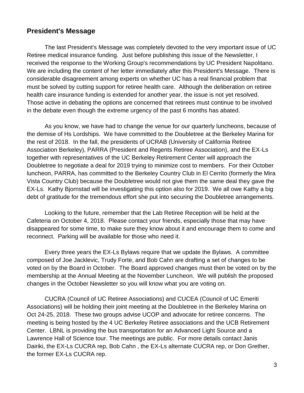# **President's Message**

The last President's Message was completely devoted to the very important issue of UC Retiree medical insurance funding. Just before publishing this issue of the Newsletter, I received the response to the Working Group's recommendations by UC President Napolitano. We are including the content of her letter immediately after this President's Message. There is considerable disagreement among experts on whether UC has a real financial problem that must be solved by cutting support for retiree health care. Although the deliberation on retiree health care insurance funding is extended for another year, the issue is not yet resolved. Those active in debating the options are concerned that retirees must continue to be involved in the debate even though the extreme urgency of the past 6 months has abated.

As you know, we have had to change the venue for our quarterly luncheons, because of the demise of Hs Lordships. We have committed to the Doubletree at the Berkeley Marina for the rest of 2018. In the fall, the presidents of UCRAB (University of California Retiree Association Berkeley), PARRA (President and Regents Retiree Association), and the EX-Ls together with representatives of the UC Berkeley Retirement Center will approach the Doubletree to negotiate a deal for 2019 trying to minimize cost to members. For their October luncheon, PARRA, has committed to the Berkeley Country Club in El Cerrito (formerly the Mira Vista Country Club) because the Doubletree would not give them the same deal they gave the EX-Ls. Kathy Bjornstad will be investigating this option also for 2019. We all owe Kathy a big debt of gratitude for the tremendous effort she put into securing the Doubletree arrangements.

Looking to the future, remember that the Lab Retiree Reception will be held at the Cafeteria on October 4, 2018. Please contact your friends, especially those that may have disappeared for some time, to make sure they know about it and encourage them to come and reconnect. Parking will be available for those who need it.

Every three years the EX-Ls Bylaws require that we update the Bylaws. A committee composed of Joe Jacklevic, Trudy Forte, and Bob Cahn are drafting a set of changes to be voted on by the Board in October. The Board approved changes must then be voted on by the membership at the Annual Meeting at the November Luncheon. We will publish the proposed changes in the October Newsletter so you will know what you are voting on.

CUCRA (Council of UC Retiree Associations) and CUCEA (Council of UC Emeriti Associations) will be holding their joint meeting at the Doubletree in the Berkeley Marina on Oct 24-25, 2018. These two groups advise UCOP and advocate for retiree concerns. The meeting is being hosted by the 4 UC Berkeley Retiree associations and the UCB Retirement Center. LBNL is providing the bus transportation for an Advanced Light Source and a Lawrence Hall of Science tour. The meetings are public. For more details contact Janis Dairiki, the EX-Ls CUCRA rep, Bob Cahn , the EX-Ls alternate CUCRA rep, or Don Grether, the former EX-Ls CUCRA rep.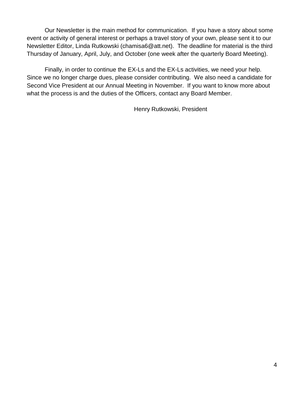Our Newsletter is the main method for communication. If you have a story about some event or activity of general interest or perhaps a travel story of your own, please sent it to our Newsletter Editor, Linda Rutkowski (chamisa6@att.net). The deadline for material is the third Thursday of January, April, July, and October (one week after the quarterly Board Meeting).

Finally, in order to continue the EX-Ls and the EX-Ls activities, we need your help. Since we no longer charge dues, please consider contributing. We also need a candidate for Second Vice President at our Annual Meeting in November. If you want to know more about what the process is and the duties of the Officers, contact any Board Member.

Henry Rutkowski, President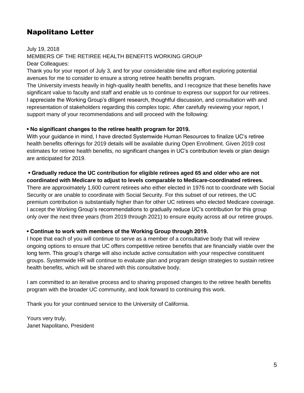# Napolitano Letter

July 19, 2018 MEMBERS OF THE RETIREE HEALTH BENEFITS WORKING GROUP Dear Colleagues:

Thank you for your report of July 3, and for your considerable time and effort exploring potential avenues for me to consider to ensure a strong retiree health benefits program.

The University invests heavily in high-quality health benefits, and I recognize that these benefits have significant value to faculty and staff and enable us to continue to express our support for our retirees. I appreciate the Working Group's diligent research, thoughtful discussion, and consultation with and representation of stakeholders regarding this complex topic. After carefully reviewing your report, I support many of your recommendations and will proceed with the following:

### **• No significant changes to the retiree health program for 2019.**

With your guidance in mind, I have directed Systemwide Human Resources to finalize UC's retiree health benefits offerings for 2019 details will be available during Open Enrollment. Given 2019 cost estimates for retiree health benefits, no significant changes in UC's contribution levels or plan design are anticipated for 2019.

# **• Gradually reduce the UC contribution for eligible retirees aged 65 and older who are not**

**coordinated with Medicare to adjust to levels comparable to Medicare-coordinated retirees.** There are approximately 1,600 current retirees who either elected in 1976 not to coordinate with Social Security or are unable to coordinate with Social Security. For this subset of our retirees, the UC premium contribution is substantially higher than for other UC retirees who elected Medicare coverage. I accept the Working Group's recommendations to gradually reduce UC's contribution for this group only over the next three years (from 2019 through 2021) to ensure equity across all our retiree groups.

## **• Continue to work with members of the Working Group through 2019.**

I hope that each of you will continue to serve as a member of a consultative body that will review ongoing options to ensure that UC offers competitive retiree benefits that are financially viable over the long term. This group's charge will also include active consultation with your respective constituent groups. Systemwide HR will continue to evaluate plan and program design strategies to sustain retiree health benefits, which will be shared with this consultative body.

I am committed to an iterative process and to sharing proposed changes to the retiree health benefits program with the broader UC community, and look forward to continuing this work.

Thank you for your continued service to the University of California.

Yours very truly, Janet Napolitano, President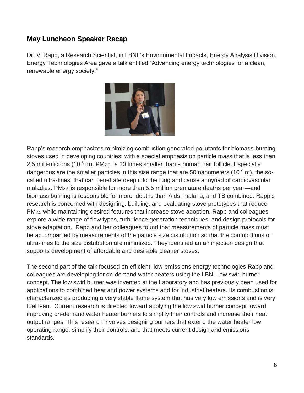# **May Luncheon Speaker Recap**

Dr. Vi Rapp, a Research Scientist, in LBNL's Environmental Impacts, Energy Analysis Division, Energy Technologies Area gave a talk entitled "Advancing energy technologies for a clean, renewable energy society."



Rapp's research emphasizes minimizing combustion generated pollutants for biomass-burning stoves used in developing countries, with a special emphasis on particle mass that is less than 2.5 milli-microns (10 $\textdegree$  m). PM<sub>2.5</sub>, is 20 times smaller than a human hair follicle. Especially dangerous are the smaller particles in this size range that are 50 nanometers (10 $\degree$  m), the socalled ultra-fines, that can penetrate deep into the lung and cause a myriad of cardiovascular maladies. PM2.5 is responsible for more than 5.5 million premature deaths per year—and biomass burning is responsible for more deaths than Aids, malaria, and TB combined. Rapp's research is concerned with designing, building, and evaluating stove prototypes that reduce PM2.5 while maintaining desired features that increase stove adoption. Rapp and colleagues explore a wide range of flow types, turbulence generation techniques, and design protocols for stove adaptation. Rapp and her colleagues found that measurements of particle mass must be accompanied by measurements of the particle size distribution so that the contributions of ultra-fines to the size distribution are minimized. They identified an air injection design that supports development of affordable and desirable cleaner stoves.

The second part of the talk focused on efficient, low-emissions energy technologies Rapp and colleagues are developing for on-demand water heaters using the LBNL low swirl burner concept. The low swirl burner was invented at the Laboratory and has previously been used for applications to combined heat and power systems and for industrial heaters. Its combustion is characterized as producing a very stable flame system that has very low emissions and is very fuel lean. Current research is directed toward applying the low swirl burner concept toward improving on-demand water heater burners to simplify their controls and increase their heat output ranges. This research involves designing burners that extend the water heater low operating range, simplify their controls, and that meets current design and emissions standards.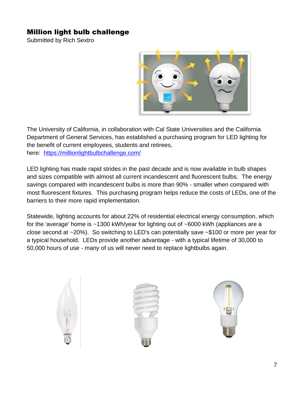# Million light bulb challenge

Submitted by Rich Sextro



The University of California, in collaboration with Cal State Universities and the California Department of General Services, has established a purchasing program for LED lighting for the benefit of current employees, students and retirees, here: <https://millionlightbulbchallenge.com/>

LED lighting has made rapid strides in the past decade and is now available in bulb shapes and sizes compatible with almost all current incandescent and fluorescent bulbs. The energy savings compared with incandescent bulbs is more than 90% - smaller when compared with most fluorescent fixtures. This purchasing program helps reduce the costs of LEDs, one of the barriers to their more rapid implementation.

Statewide, lighting accounts for about 22% of residential electrical energy consumption, which for the 'average' home is ~1300 kWh/year for lighting out of ~6000 kWh (appliances are a close second at ~20%). So switching to LED's can potentially save ~\$100 or more per year for a typical household. LEDs provide another advantage - with a typical lifetime of 30,000 to 50,000 hours of use - many of us will never need to replace lightbulbs again.

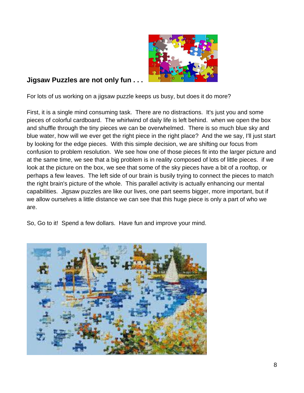

# **Jigsaw Puzzles are not only fun . . .**

For lots of us working on a jigsaw puzzle keeps us busy, but does it do more?

First, it is a single mind consuming task. There are no distractions. It's just you and some pieces of colorful cardboard. The whirlwind of daily life is left behind. when we open the box and shuffle through the tiny pieces we can be overwhelmed. There is so much blue sky and blue water, how will we ever get the right piece in the right place? And the we say, I'll just start by looking for the edge pieces. With this simple decision, we are shifting our focus from confusion to problem resolution. We see how one of those pieces fit into the larger picture and at the same time, we see that a big problem is in reality composed of lots of little pieces. if we look at the picture on the box, we see that some of the sky pieces have a bit of a rooftop, or perhaps a few leaves. The left side of our brain is busily trying to connect the pieces to match the right brain's picture of the whole. This parallel activity is actually enhancing our mental capabilities. Jigsaw puzzles are like our lives, one part seems bigger, more important, but if we allow ourselves a little distance we can see that this huge piece is only a part of who we are.

So, Go to it! Spend a few dollars. Have fun and improve your mind.

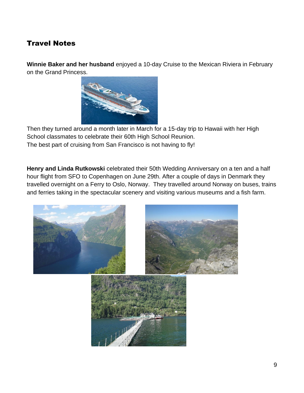# Travel Notes

**Winnie Baker and her husband** enjoyed a 10-day Cruise to the Mexican Riviera in February on the Grand Princess.



Then they turned around a month later in March for a 15-day trip to Hawaii with her High School classmates to celebrate their 60th High School Reunion. The best part of cruising from San Francisco is not having to fly!

**Henry and Linda Rutkowski** celebrated their 50th Wedding Anniversary on a ten and a half hour flight from SFO to Copenhagen on June 29th. After a couple of days in Denmark they travelled overnight on a Ferry to Oslo, Norway. They travelled around Norway on buses, trains and ferries taking in the spectacular scenery and visiting various museums and a fish farm.

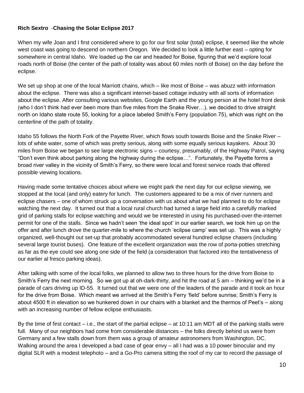## **Rich Sextro** -**Chasing the Solar Eclipse 2017**

When my wife Joan and I first considered where to go for our first solar (total) eclipse, it seemed like the whole west coast was going to descend on northern Oregon. We decided to look a little further east – opting for somewhere in central Idaho. We loaded up the car and headed for Boise, figuring that we'd explore local roads north of Boise (the center of the path of totality was about 60 miles north of Boise) on the day before the eclipse.

We set up shop at one of the local Marriott chains, which – like most of Boise – was abuzz with information about the eclipse. There was also a significant internet-based cottage industry with all sorts of information about the eclipse. After consulting various websites, Google Earth and the young person at the hotel front desk (who I don't think had ever been more than five miles from the Snake River…), we decided to drive straight north on Idaho state route 55, looking for a place labeled Smith's Ferry (population 75), which was right on the centerline of the path of totality.

Idaho 55 follows the North Fork of the Payette River, which flows south towards Boise and the Snake River – lots of white water, some of which was pretty serious, along with some equally serious kayakers. About 30 miles from Boise we began to see large electronic signs – courtesy, presumably, of the Highway Patrol, saying "Don't even think about parking along the highway during the eclipse…". Fortunately, the Payette forms a broad river valley in the vicinity of Smith's Ferry, so there were local and forest service roads that offered possible viewing locations.

Having made some tentative choices about where we might park the next day for our eclipse viewing, we stopped at the local (and only) eatery for lunch. The customers appeared to be a mix of river runners and eclipse chasers – one of whom struck up a conversation with us about what we had planned to do for eclipse watching the next day. It turned out that a local rural church had turned a large field into a carefully marked grid of parking stalls for eclipse watching and would we be interested in using his purchased-over-the-internet permit for one of the stalls. Since we hadn't seen 'the ideal spot' in our earlier search, we took him up on the offer and after lunch drove the quarter-mile to where the church 'eclipse camp' was set up. This was a highly organized, well-thought out set-up that probably accommodated several hundred eclipse chasers (including several large tourist buses). One feature of the excellent organization was the row of porta-potties stretching as far as the eye could see along one side of the field (a consideration that factored into the tentativeness of our earlier al fresco parking ideas).

After talking with some of the local folks, we planned to allow two to three hours for the drive from Boise to Smith's Ferry the next morning. So we got up at oh-dark-thirty, and hit the road at 5 am – thinking we'd be in a parade of cars driving up ID-55. It turned out that we were one of the leaders of the parade and it took an hour for the drive from Boise. Which meant we arrived at the Smith's Ferry 'field' before sunrise; Smith's Ferry is about 4500 ft in elevation so we hunkered down in our chairs with a blanket and the thermos of Peet's – along with an increasing number of fellow eclipse enthusiasts.

By the time of first contact – i.e., the start of the partial eclipse – at 10:11 am MDT all of the parking stalls were full. Many of our neighbors had come from considerable distances – the folks directly behind us were from Germany and a few stalls down from them was a group of amateur astronomers from Washington, DC. Walking around the area I developed a bad case of gear envy – all I had was a 10 power binocular and my digital SLR with a modest telephoto – and a Go-Pro camera sitting the roof of my car to record the passage of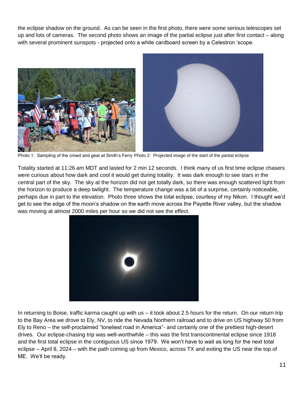the eclipse shadow on the ground. As can be seen in the first photo, there were some serious telescopes set up and lots of cameras. The second photo shows an image of the partial eclipse just after first contact – along with several prominent sunspots - projected onto a white cardboard screen by a Celestron 'scope.



Photo 1: Sampling of the crowd and gear at Smith's Ferry Photo 2: Projected image of the start of the partial eclipse

Totality started at 11:26 am MDT and lasted for 2 min 12 seconds. I think many of us first time eclipse chasers were curious about how dark and cool it would get during totality. It was dark enough to see stars in the central part of the sky. The sky at the horizon did not get totally dark, so there was enough scattered light from the horizon to produce a deep twilight. The temperature change was a bit of a surprise, certainly noticeable, perhaps due in part to the elevation. Photo three shows the total eclipse, courtesy of my Nikon. I thought we'd get to see the edge of the moon's shadow on the earth move across the Payette River valley, but the shadow was moving at almost 2000 miles per hour so we did not see the effect.



In returning to Boise, traffic karma caught up with us – it took about 2.5 hours for the return. On our return trip to the Bay Area we drove to Ely, NV, to ride the Nevada Northern railroad and to drive on US highway 50 from Ely to Reno – the self-proclaimed "loneliest road in America"- and certainly one of the prettiest high-desert drives. Our eclipse-chasing trip was well-worthwhile – this was the first transcontinental eclipse since 1918 and the first total eclipse in the contiguous US since 1979. We won't have to wait as long for the next total eclipse – April 8, 2024 – with the path coming up from Mexico, across TX and exiting the US near the top of ME. We'll be ready.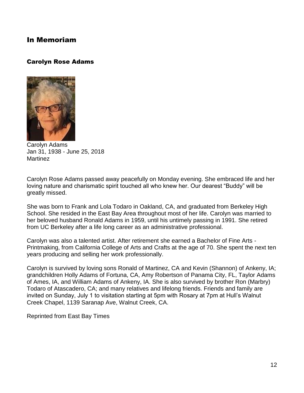# In Memoriam

## Carolyn Rose Adams



Carolyn Adams Jan 31, 1938 - June 25, 2018 Martinez

Carolyn Rose Adams passed away peacefully on Monday evening. She embraced life and her loving nature and charismatic spirit touched all who knew her. Our dearest "Buddy" will be greatly missed.

She was born to Frank and Lola Todaro in Oakland, CA, and graduated from Berkeley High School. She resided in the East Bay Area throughout most of her life. Carolyn was married to her beloved husband Ronald Adams in 1959, until his untimely passing in 1991. She retired from UC Berkeley after a life long career as an administrative professional.

Carolyn was also a talented artist. After retirement she earned a Bachelor of Fine Arts - Printmaking, from California College of Arts and Crafts at the age of 70. She spent the next ten years producing and selling her work professionally.

Carolyn is survived by loving sons Ronald of Martinez, CA and Kevin (Shannon) of Ankeny, IA; grandchildren Holly Adams of Fortuna, CA, Amy Robertson of Panama City, FL, Taylor Adams of Ames, IA, and William Adams of Ankeny, IA. She is also survived by brother Ron (Marbry) Todaro of Atascadero, CA; and many relatives and lifelong friends. Friends and family are invited on Sunday, July 1 to visitation starting at 5pm with Rosary at 7pm at Hull's Walnut Creek Chapel, 1139 Saranap Ave, Walnut Creek, CA.

Reprinted from East Bay Times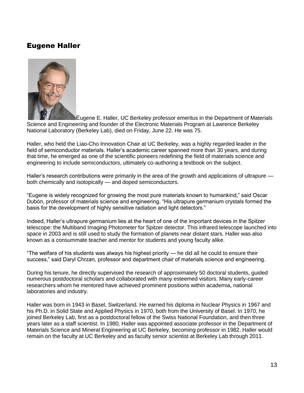# Eugene Haller



Eugene E. Haller, UC Berkeley professor emeritus in the Department of Materials Science and Engineering and founder of the Electronic Materials Program at Lawrence Berkeley National Laboratory (Berkeley Lab), died on Friday, June 22. He was 75.

Haller, who held the Liao-Cho Innovation Chair at UC Berkeley, was a highly regarded leader in the field of semiconductor materials. Haller's academic career spanned more than 30 years, and during that time, he emerged as one of the scientific pioneers redefining the field of materials science and engineering to include semiconductors, ultimately co-authoring a textbook on the subject.

Haller's research contributions were primarily in the area of the growth and applications of ultrapure both chemically and isotopically — and doped semiconductors.

"Eugene is widely recognized for growing the most pure materials known to humankind," said Oscar Dubón, professor of materials science and engineering. "His ultrapure germanium crystals formed the basis for the development of highly sensitive radiation and light detectors."

Indeed, Haller's ultrapure germanium lies at the heart of one of the important devices in the Spitzer telescope: the Multiband Imaging Photometer for Spitzer detector. This infrared telescope launched into space in 2003 and is still used to study the formation of planets near distant stars. Haller was also known as a consummate teacher and mentor for students and young faculty alike.

"The welfare of his students was always his highest priority — he did all he could to ensure their success," said Daryl Chrzan, professor and department chair of materials science and engineering.

During his tenure, he directly supervised the research of approximately 50 doctoral students, guided numerous postdoctoral scholars and collaborated with many esteemed visitors. Many early-career researchers whom he mentored have achieved prominent positions within academia, national laboratories and industry.

Haller was born in 1943 in Basel, Switzerland. He earned his diploma in Nuclear Physics in 1967 and his Ph.D. in Solid State and Applied Physics in 1970, both from the University of Basel. In 1970, he joined Berkeley Lab, first as a postdoctoral fellow of the Swiss National Foundation, and then three years later as a staff scientist. In 1980, Haller was appointed associate professor in the Department of Materials Science and Mineral Engineering at UC Berkeley, becoming professor in 1982. Haller would remain on the faculty at UC Berkeley and as faculty senior scientist at Berkeley Lab through 2011.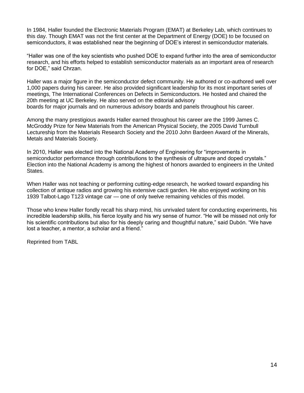In 1984, Haller founded the Electronic Materials Program (EMAT) at Berkeley Lab, which continues to this day. Though EMAT was not the first center at the Department of Energy (DOE) to be focused on semiconductors, it was established near the beginning of DOE's interest in semiconductor materials.

"Haller was one of the key scientists who pushed DOE to expand further into the area of semiconductor research, and his efforts helped to establish semiconductor materials as an important area of research for DOE," said Chrzan.

Haller was a major figure in the semiconductor defect community. He authored or co-authored well over 1,000 papers during his career. He also provided significant leadership for its most important series of meetings, The International Conferences on Defects in Semiconductors. He hosted and chaired the 20th meeting at UC Berkeley. He also served on the editorial advisory boards for major journals and on numerous advisory boards and panels throughout his career.

Among the many prestigious awards Haller earned throughout his career are the 1999 James C. McGroddy Prize for New Materials from the American Physical Society, the 2005 David Turnbull Lectureship from the Materials Research Society and the 2010 John Bardeen Award of the Minerals, Metals and Materials Society.

In 2010, Haller was elected into the National Academy of Engineering for "improvements in semiconductor performance through contributions to the synthesis of ultrapure and doped crystals." Election into the National Academy is among the highest of honors awarded to engineers in the United States.

When Haller was not teaching or performing cutting-edge research, he worked toward expanding his collection of antique radios and growing his extensive cacti garden. He also enjoyed working on his 1939 Talbot-Lago T123 vintage car — one of only twelve remaining vehicles of this model.

Those who knew Haller fondly recall his sharp mind, his unrivaled talent for conducting experiments, his incredible leadership skills, his fierce loyalty and his wry sense of humor. "He will be missed not only for his scientific contributions but also for his deeply caring and thoughtful nature," said Dubón. "We have lost a teacher, a mentor, a scholar and a friend."

Reprinted from TABL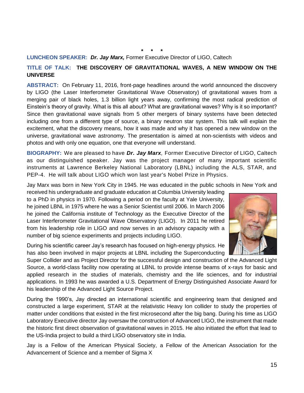### **\* \* \***

#### **LUNCHEON SPEAKER:** *Dr. Jay Marx,* Former Executive Director of LIGO, Caltech

#### **TITLE OF TALK: THE DISCOVERY OF GRAVITATIONAL WAVES, A NEW WINDOW ON THE UNIVERSE**

**ABSTRACT:** On February 11, 2016, front-page headlines around the world announced the discovery by LIGO (the Laser Interferometer Gravitational Wave Observatory) of gravitational waves from a merging pair of black holes, 1.3 billion light years away, confirming the most radical prediction of Einstein's theory of gravity. What is this all about? What are gravitational waves? Why is it so important? Since then gravitational wave signals from 5 other mergers of binary systems have been detected including one from a different type of source, a binary neutron star system. This talk will explain the excitement, what the discovery means, how it was made and why it has opened a new window on the universe, gravitational wave astronomy. The presentation is aimed at non-scientists with videos and photos and with only one equation, one that everyone will understand.

**BIOGRAPHY:** We are pleased to have *Dr. Jay Marx,* Former Executive Director of LIGO, Caltech as our distinguished speaker. Jay was the project manager of many important scientific instruments at Lawrence Berkeley National Laboratory (LBNL) including the ALS, STAR, and PEP-4. He will talk about LIGO which won last year's Nobel Prize in Physics.

Jay Marx was born in New York City in 1945. He was educated in the public schools in New York and

received his undergraduate and graduate education at Columbia University leading to a PhD in physics in 1970. Following a period on the faculty at Yale University, he joined LBNL in 1975 where he was a Senior Scientist until 2006. In March 2006 he joined the California institute of Technology as the Executive Director of the Laser Interferometer Gravitational Wave Observatory (LIGO). In 2011 he retired from his leadership role in LIGO and now serves in an advisory capacity with a number of big science experiments and projects including LIGO.

During his scientific career Jay's research has focused on high-energy physics. He has also been involved in major projects at LBNL including the Superconducting

Super Collider and as Project Director for the successful design and construction of the Advanced Light Source, a world-class facility now operating at LBNL to provide intense beams of x-rays for basic and applied research in the studies of materials, chemistry and the life sciences, and for industrial applications. In 1993 he was awarded a U.S. Department of Energy Distinguished Associate Award for his leadership of the Advanced Light Source Project.

During the 1990's, Jay directed an international scientific and engineering team that designed and constructed a large experiment, STAR at the relativistic Heavy Ion collider to study the properties of matter under conditions that existed in the first microsecond after the big bang. During his time as LIGO Laboratory Executive director Jay oversaw the construction of Advanced LIGO, the instrument that made the historic first direct observation of gravitational waves in 2015. He also initiated the effort that lead to the US-India project to build a third LIGO observatory site in India.

Jay is a Fellow of the American Physical Society, a Fellow of the American Association for the Advancement of Science and a member of Sigma X

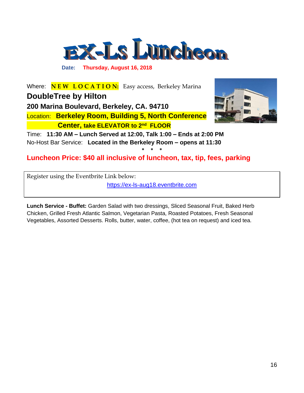

 **Date: Thursday, August 16, 2018**

*Where:* **N E W L O C A T I O N:** Easy access, Berkeley Marina *DoubleTree by Hilton* **200 Marina Boulevard, Berkeley, CA. 94710**  *Location:* **Berkeley Room, Building 5, North Conference Center, take ELEVATOR to 2nd FLOOR**



*Time:* **11:30 AM – Lunch Served at 12:00, Talk 1:00 – Ends at 2:00 PM** *No-Host Bar Service:* **Located in the Berkeley Room – opens at 11:30**

*Luncheon Price: \$40 all inclusive of luncheon, tax, tip, fees, parking* 

Register using the Eventbrite Link below:

[https://ex-ls-aug18.eventbrite.com](https://ex-ls-aug18.eventbrite.com/)

**\* \* \***

**Lunch Service - Buffet:** Garden Salad with two dressings, Sliced Seasonal Fruit, Baked Herb Chicken, Grilled Fresh Atlantic Salmon, Vegetarian Pasta, Roasted Potatoes, Fresh Seasonal Vegetables, Assorted Desserts. Rolls, butter, water, coffee, (hot tea on request) and iced tea.